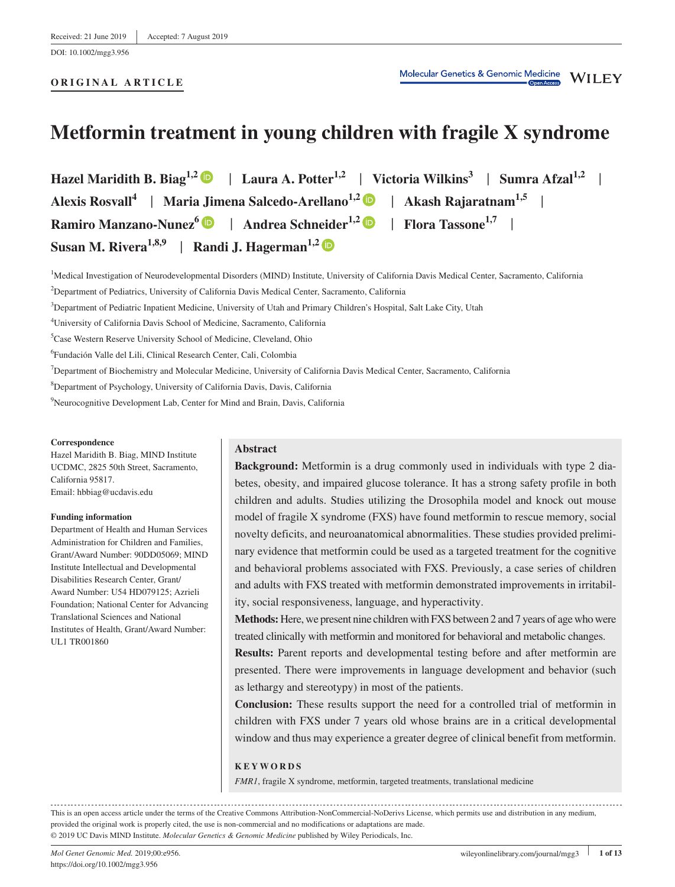DOI: 10.1002/mgg3.956

#### **ORIGINAL ARTICLE**

# **Metformin treatment in young children with fragile X syndrome**

**Hazel Maridith B. Biag1,2** | **Laura A. Potter1,2** | **Victoria Wilkins3** | **Sumra Afzal1,2** | **Alexis Rosvall<sup>4</sup>** | **Maria Jimena Salcedo‐Arellano1,2** | **Akash Rajaratnam1,5** | **Ramiro Manzano-Nunez**<sup>6</sup> | Andrea Schneider<sup>1,2</sup> | **Flora Tassone**<sup>1,7</sup> | **Susan M. Rivera1,8,9** | **Randi J. Hagerman1,2**

<sup>1</sup>Medical Investigation of Neurodevelopmental Disorders (MIND) Institute, University of California Davis Medical Center, Sacramento, California

2 Department of Pediatrics, University of California Davis Medical Center, Sacramento, California

3 Department of Pediatric Inpatient Medicine, University of Utah and Primary Children's Hospital, Salt Lake City, Utah

4 University of California Davis School of Medicine, Sacramento, California

5 Case Western Reserve University School of Medicine, Cleveland, Ohio

6 Fundación Valle del Lili, Clinical Research Center, Cali, Colombia

7 Department of Biochemistry and Molecular Medicine, University of California Davis Medical Center, Sacramento, California

8 Department of Psychology, University of California Davis, Davis, California

9 Neurocognitive Development Lab, Center for Mind and Brain, Davis, California

#### **Correspondence**

Hazel Maridith B. Biag, MIND Institute UCDMC, 2825 50th Street, Sacramento, California 95817. Email: [hbbiag@ucdavis.edu](mailto:hbbiag@ucdavis.edu)

#### **Funding information**

Department of Health and Human Services Administration for Children and Families, Grant/Award Number: 90DD05069; MIND Institute Intellectual and Developmental Disabilities Research Center, Grant/ Award Number: U54 HD079125; Azrieli Foundation; National Center for Advancing Translational Sciences and National Institutes of Health, Grant/Award Number: UL1 TR001860

# **Abstract**

**Background:** Metformin is a drug commonly used in individuals with type 2 diabetes, obesity, and impaired glucose tolerance. It has a strong safety profile in both children and adults. Studies utilizing the Drosophila model and knock out mouse model of fragile X syndrome (FXS) have found metformin to rescue memory, social novelty deficits, and neuroanatomical abnormalities. These studies provided preliminary evidence that metformin could be used as a targeted treatment for the cognitive and behavioral problems associated with FXS. Previously, a case series of children and adults with FXS treated with metformin demonstrated improvements in irritability, social responsiveness, language, and hyperactivity.

**Methods:** Here, we present nine children with FXS between 2 and 7 years of age who were treated clinically with metformin and monitored for behavioral and metabolic changes.

**Results:** Parent reports and developmental testing before and after metformin are presented. There were improvements in language development and behavior (such as lethargy and stereotypy) in most of the patients.

**Conclusion:** These results support the need for a controlled trial of metformin in children with FXS under 7 years old whose brains are in a critical developmental window and thus may experience a greater degree of clinical benefit from metformin.

# **KEYWORDS**

*FMR1*, fragile X syndrome, metformin, targeted treatments, translational medicine

This is an open access article under the terms of the [Creative Commons Attribution](http://creativecommons.org/licenses/by-nc-nd/4.0/)-NonCommercial-NoDerivs License, which permits use and distribution in any medium, provided the original work is properly cited, the use is non‐commercial and no modifications or adaptations are made. © 2019 UC Davis MIND Institute. *Molecular Genetics & Genomic Medicine* published by Wiley Periodicals, Inc.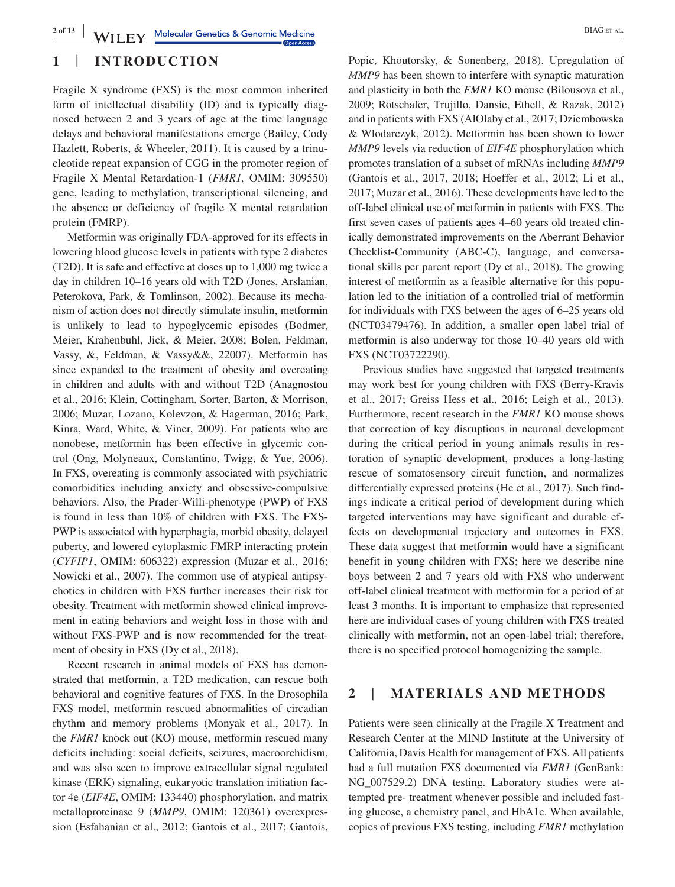# **1** | **INTRODUCTION**

Fragile X syndrome (FXS) is the most common inherited form of intellectual disability (ID) and is typically diagnosed between 2 and 3 years of age at the time language delays and behavioral manifestations emerge (Bailey, Cody Hazlett, Roberts, & Wheeler, 2011). It is caused by a trinucleotide repeat expansion of CGG in the promoter region of Fragile X Mental Retardation‐1 (*FMR1,* OMIM: 309550) gene, leading to methylation, transcriptional silencing, and the absence or deficiency of fragile X mental retardation protein (FMRP).

Metformin was originally FDA‐approved for its effects in lowering blood glucose levels in patients with type 2 diabetes (T2D). It is safe and effective at doses up to 1,000 mg twice a day in children 10–16 years old with T2D (Jones, Arslanian, Peterokova, Park, & Tomlinson, 2002). Because its mechanism of action does not directly stimulate insulin, metformin is unlikely to lead to hypoglycemic episodes (Bodmer, Meier, Krahenbuhl, Jick, & Meier, 2008; Bolen, Feldman, Vassy, &, Feldman, & Vassy&&, 22007). Metformin has since expanded to the treatment of obesity and overeating in children and adults with and without T2D (Anagnostou et al., 2016; Klein, Cottingham, Sorter, Barton, & Morrison, 2006; Muzar, Lozano, Kolevzon, & Hagerman, 2016; Park, Kinra, Ward, White, & Viner, 2009). For patients who are nonobese, metformin has been effective in glycemic control (Ong, Molyneaux, Constantino, Twigg, & Yue, 2006). In FXS, overeating is commonly associated with psychiatric comorbidities including anxiety and obsessive‐compulsive behaviors. Also, the Prader‐Willi‐phenotype (PWP) of FXS is found in less than 10% of children with FXS. The FXS‐ PWP is associated with hyperphagia, morbid obesity, delayed puberty, and lowered cytoplasmic FMRP interacting protein (*CYFIP1*, OMIM: 606322) expression (Muzar et al., 2016; Nowicki et al., 2007). The common use of atypical antipsychotics in children with FXS further increases their risk for obesity. Treatment with metformin showed clinical improvement in eating behaviors and weight loss in those with and without FXS-PWP and is now recommended for the treatment of obesity in FXS (Dy et al., 2018).

Recent research in animal models of FXS has demonstrated that metformin, a T2D medication, can rescue both behavioral and cognitive features of FXS. In the Drosophila FXS model, metformin rescued abnormalities of circadian rhythm and memory problems (Monyak et al., 2017). In the *FMR1* knock out (KO) mouse, metformin rescued many deficits including: social deficits, seizures, macroorchidism, and was also seen to improve extracellular signal regulated kinase (ERK) signaling, eukaryotic translation initiation factor 4e (*EIF4E*, OMIM: 133440) phosphorylation, and matrix metalloproteinase 9 (*MMP9*, OMIM: 120361) overexpression (Esfahanian et al., 2012; Gantois et al., 2017; Gantois,

Popic, Khoutorsky, & Sonenberg, 2018). Upregulation of *MMP9* has been shown to interfere with synaptic maturation and plasticity in both the *FMR1* KO mouse (Bilousova et al., 2009; Rotschafer, Trujillo, Dansie, Ethell, & Razak, 2012) and in patients with FXS (AlOlaby et al., 2017; Dziembowska & Wlodarczyk, 2012). Metformin has been shown to lower *MMP9* levels via reduction of *EIF4E* phosphorylation which promotes translation of a subset of mRNAs including *MMP9* (Gantois et al., 2017, 2018; Hoeffer et al., 2012; Li et al., 2017; Muzar et al., 2016). These developments have led to the off‐label clinical use of metformin in patients with FXS. The first seven cases of patients ages 4–60 years old treated clinically demonstrated improvements on the Aberrant Behavior Checklist‐Community (ABC‐C), language, and conversational skills per parent report (Dy et al., 2018). The growing interest of metformin as a feasible alternative for this population led to the initiation of a controlled trial of metformin for individuals with FXS between the ages of 6–25 years old (NCT03479476). In addition, a smaller open label trial of metformin is also underway for those 10–40 years old with FXS (NCT03722290).

Previous studies have suggested that targeted treatments may work best for young children with FXS (Berry‐Kravis et al., 2017; Greiss Hess et al., 2016; Leigh et al., 2013). Furthermore, recent research in the *FMR1* KO mouse shows that correction of key disruptions in neuronal development during the critical period in young animals results in restoration of synaptic development, produces a long‐lasting rescue of somatosensory circuit function, and normalizes differentially expressed proteins (He et al., 2017). Such findings indicate a critical period of development during which targeted interventions may have significant and durable effects on developmental trajectory and outcomes in FXS. These data suggest that metformin would have a significant benefit in young children with FXS; here we describe nine boys between 2 and 7 years old with FXS who underwent off‐label clinical treatment with metformin for a period of at least 3 months. It is important to emphasize that represented here are individual cases of young children with FXS treated clinically with metformin, not an open‐label trial; therefore, there is no specified protocol homogenizing the sample.

# **2** | **MATERIALS AND METHODS**

Patients were seen clinically at the Fragile X Treatment and Research Center at the MIND Institute at the University of California, Davis Health for management of FXS. All patients had a full mutation FXS documented via *FMR1* (GenBank: NG\_007529.2) DNA testing. Laboratory studies were attempted pre‐ treatment whenever possible and included fasting glucose, a chemistry panel, and HbA1c. When available, copies of previous FXS testing, including *FMR1* methylation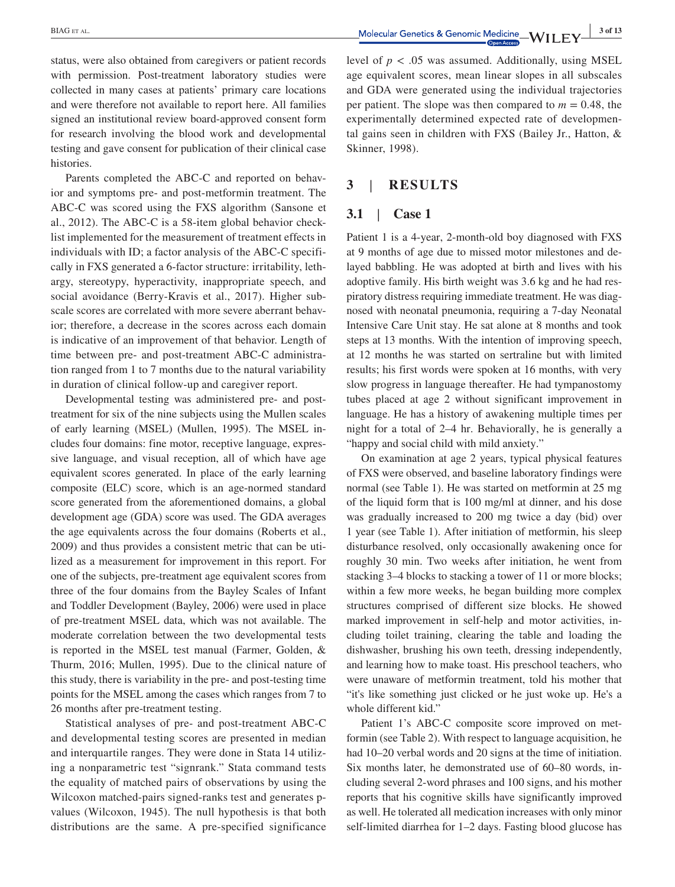status, were also obtained from caregivers or patient records with permission. Post-treatment laboratory studies were collected in many cases at patients' primary care locations and were therefore not available to report here. All families signed an institutional review board‐approved consent form for research involving the blood work and developmental testing and gave consent for publication of their clinical case histories.

Parents completed the ABC‐C and reported on behavior and symptoms pre‐ and post‐metformin treatment. The ABC‐C was scored using the FXS algorithm (Sansone et al., 2012). The ABC‐C is a 58‐item global behavior checklist implemented for the measurement of treatment effects in individuals with ID; a factor analysis of the ABC‐C specifically in FXS generated a 6‐factor structure: irritability, lethargy, stereotypy, hyperactivity, inappropriate speech, and social avoidance (Berry‐Kravis et al., 2017). Higher subscale scores are correlated with more severe aberrant behavior; therefore, a decrease in the scores across each domain is indicative of an improvement of that behavior. Length of time between pre- and post-treatment ABC-C administration ranged from 1 to 7 months due to the natural variability in duration of clinical follow‐up and caregiver report.

Developmental testing was administered pre- and posttreatment for six of the nine subjects using the Mullen scales of early learning (MSEL) (Mullen, 1995). The MSEL includes four domains: fine motor, receptive language, expressive language, and visual reception, all of which have age equivalent scores generated. In place of the early learning composite (ELC) score, which is an age-normed standard score generated from the aforementioned domains, a global development age (GDA) score was used. The GDA averages the age equivalents across the four domains (Roberts et al., 2009) and thus provides a consistent metric that can be utilized as a measurement for improvement in this report. For one of the subjects, pre‐treatment age equivalent scores from three of the four domains from the Bayley Scales of Infant and Toddler Development (Bayley, 2006) were used in place of pre‐treatment MSEL data, which was not available. The moderate correlation between the two developmental tests is reported in the MSEL test manual (Farmer, Golden, & Thurm, 2016; Mullen, 1995). Due to the clinical nature of this study, there is variability in the pre‐ and post‐testing time points for the MSEL among the cases which ranges from 7 to 26 months after pre‐treatment testing.

Statistical analyses of pre‐ and post‐treatment ABC‐C and developmental testing scores are presented in median and interquartile ranges. They were done in Stata 14 utilizing a nonparametric test "signrank." Stata command tests the equality of matched pairs of observations by using the Wilcoxon matched-pairs signed-ranks test and generates pvalues (Wilcoxon, 1945). The null hypothesis is that both distributions are the same. A pre‐specified significance

level of  $p < .05$  was assumed. Additionally, using MSEL age equivalent scores, mean linear slopes in all subscales and GDA were generated using the individual trajectories per patient. The slope was then compared to  $m = 0.48$ , the experimentally determined expected rate of developmental gains seen in children with FXS (Bailey Jr., Hatton, & Skinner, 1998).

# **3** | **RESULTS**

# **3.1** | **Case 1**

Patient 1 is a 4‐year, 2‐month‐old boy diagnosed with FXS at 9 months of age due to missed motor milestones and delayed babbling. He was adopted at birth and lives with his adoptive family. His birth weight was 3.6 kg and he had respiratory distress requiring immediate treatment. He was diagnosed with neonatal pneumonia, requiring a 7‐day Neonatal Intensive Care Unit stay. He sat alone at 8 months and took steps at 13 months. With the intention of improving speech, at 12 months he was started on sertraline but with limited results; his first words were spoken at 16 months, with very slow progress in language thereafter. He had tympanostomy tubes placed at age 2 without significant improvement in language. He has a history of awakening multiple times per night for a total of 2–4 hr. Behaviorally, he is generally a "happy and social child with mild anxiety."

On examination at age 2 years, typical physical features of FXS were observed, and baseline laboratory findings were normal (see Table 1). He was started on metformin at 25 mg of the liquid form that is 100 mg/ml at dinner, and his dose was gradually increased to 200 mg twice a day (bid) over 1 year (see Table 1). After initiation of metformin, his sleep disturbance resolved, only occasionally awakening once for roughly 30 min. Two weeks after initiation, he went from stacking 3–4 blocks to stacking a tower of 11 or more blocks; within a few more weeks, he began building more complex structures comprised of different size blocks. He showed marked improvement in self‐help and motor activities, including toilet training, clearing the table and loading the dishwasher, brushing his own teeth, dressing independently, and learning how to make toast. His preschool teachers, who were unaware of metformin treatment, told his mother that "it's like something just clicked or he just woke up. He's a whole different kid."

Patient 1's ABC‐C composite score improved on metformin (see Table 2). With respect to language acquisition, he had 10–20 verbal words and 20 signs at the time of initiation. Six months later, he demonstrated use of 60–80 words, including several 2‐word phrases and 100 signs, and his mother reports that his cognitive skills have significantly improved as well. He tolerated all medication increases with only minor self-limited diarrhea for 1–2 days. Fasting blood glucose has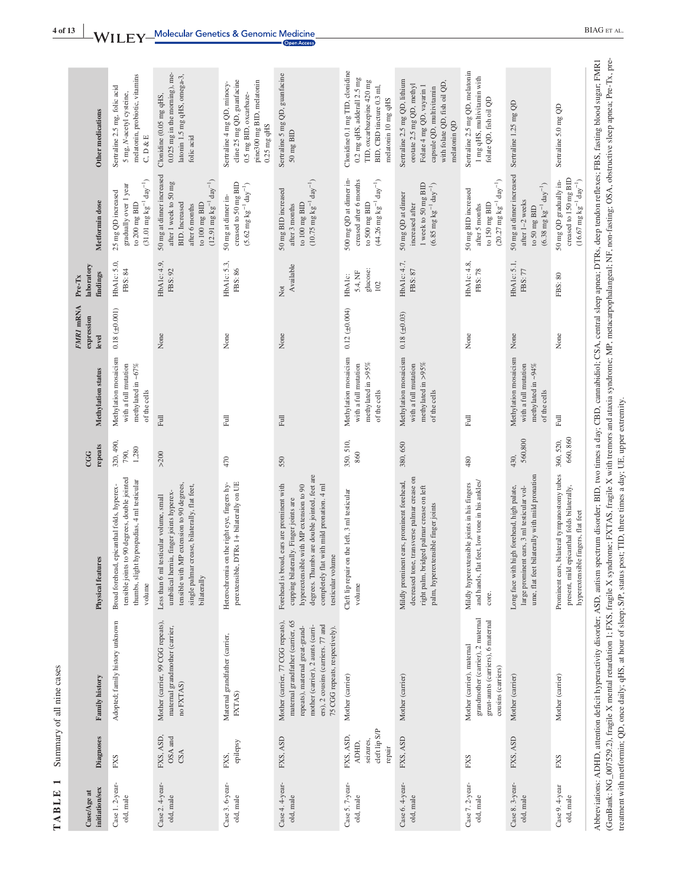| Other medications                | melatonin, probiotic, vitamins<br>Sertraline 2.5 mg, folic acid<br>5 mg, N-acetyl cysteine,<br>C, D & E                                                 | 0.025 mg in the morning), me-<br>latonin 1.5 mg qHS, omega-3,<br>Clonidine (0.05 mg qHS,<br>folic acid                                                                                          | cline 25 mg QD, guanfacine<br>pine300 mg BID, melatonin<br>Sertraline 4 mg QD, minocy-<br>0.5 mg BID, oxcarbaze-<br>$0.25$ mg qHS | Sertraline 5 mg QD, guanfacine<br>$50 \text{ mg } \text{BID}$                                                                                                                                                                                           | Clonidine 0.1 mg TID, clonidine<br>0.2 mg qHS, adderall 2.5 mg<br>TID, oxcarbazepine 420 mg<br>BID, CBD tincture 0.3 ml,<br>melatonin 10 mg qHS | Sertraline 2.5 mg QD, lithium<br>with folate QD, fish oil QD,<br>orotate 2.5 mg QD, methyl<br>Folate 4 mg QD, vayarin 1<br>capsule QD, multivitamin<br>melatonin QD           | Sertraline 2.5 mg QD, melatonin<br>1 mg qHS, multivitamin with<br>folate QD, fish oil QD                                    | Sertraline 1.25 mg QD                                                                                                                         | Sertraline 5.0 mg QD                                                                                                                 |
|----------------------------------|---------------------------------------------------------------------------------------------------------------------------------------------------------|-------------------------------------------------------------------------------------------------------------------------------------------------------------------------------------------------|-----------------------------------------------------------------------------------------------------------------------------------|---------------------------------------------------------------------------------------------------------------------------------------------------------------------------------------------------------------------------------------------------------|-------------------------------------------------------------------------------------------------------------------------------------------------|-------------------------------------------------------------------------------------------------------------------------------------------------------------------------------|-----------------------------------------------------------------------------------------------------------------------------|-----------------------------------------------------------------------------------------------------------------------------------------------|--------------------------------------------------------------------------------------------------------------------------------------|
| Metformin dose                   | $(31.01 \text{ mg kg}^{-1} \text{ day}^{-1})$<br>gradually over 1 year<br>25 mg QD increased<br>to 200 mg $\operatorname{BID}$                          | 50 mg at dinner increased<br>$(12.91 \text{ mg kg}^{-1} \text{ day}^{-1})$<br>after 1 week to 50 mg<br><b>BID.</b> Increased<br>to $100$ mg $BID$<br>after 6 months                             | creased to 50 mg BID<br>$(5.62 \text{ mg kg}^{-1} \text{ day}^{-1})$<br>50 mg at dinner in-                                       | $(10.75 \text{ mg kg}^{-1} \text{ day}^{-1})$<br>50 mg BID increased<br>to $100$ mg $BID$<br>after 3 months                                                                                                                                             | 500 mg QD at dinner in-<br>creased after 6 months<br>$(44.26 \text{ mg kg}^{-1} \text{ day}^{-1})$<br>to 500 mg BID                             | 1 week to 50 mg BID<br>$(6.85 \text{ mg kg}^{-1} \text{ day}^{-1})$<br>50 mg QD at dinner<br>increased after                                                                  | $(20.27 \text{ mg kg}^{-1} \text{ day}^{-1})$<br>50 mg BID increased<br>to $150$ mg BID<br>after 5 months                   | 50 mg at dinner increased<br>$(6.38 \text{ mg kg}^{-1} \text{ day}^{-1})$<br>after 1-2 weeks<br>to 50 mg BID                                  | creased to 150 mg BID<br>50 mg QD gradually in-<br>$(16.67 \text{ mg kg}^{-1} \text{ day}^{-1})$                                     |
| laboratory<br>findings<br>Pre-Tx | HbA1c: 5.0<br>FBS: 84                                                                                                                                   | HbA1c: 4.9,<br>FBS: 92                                                                                                                                                                          | HbA1c: 5.3,<br>FBS: 86                                                                                                            | Available<br>Xot                                                                                                                                                                                                                                        | glucose:<br>5.4, NF<br>HbA1c:<br>102                                                                                                            | HbA1c: 4.7,<br>FBS: 87                                                                                                                                                        | HbA1c: 4.8,<br>FBS: 78                                                                                                      | HbA1c: 5.1,<br>FBS: 77                                                                                                                        | FBS: 80                                                                                                                              |
| FMRI mRNA<br>expression<br>level | $0.18 \ (\pm 0.001)$                                                                                                                                    | None                                                                                                                                                                                            | None                                                                                                                              | None                                                                                                                                                                                                                                                    | $0.12 \ (\pm 0.004)$                                                                                                                            | $0.18 (\pm 0.03)$                                                                                                                                                             | None                                                                                                                        | None                                                                                                                                          | None                                                                                                                                 |
| Methylation status               | Methylation mosaicism<br>with a full mutation<br>methylated in ~67%<br>of the cells                                                                     | Full                                                                                                                                                                                            | Full                                                                                                                              | $_{\rm{Full}}$                                                                                                                                                                                                                                          | Methylation mosaicism<br>methylated in $>95\%$<br>with a full mutation<br>of the cells                                                          | Methylation mosaicism<br>methylated in $>95\%$<br>with a full mutation<br>of the cells                                                                                        | Full                                                                                                                        | Methylation mosaicism<br>with a full mutation<br>methylated in ~94%<br>of the cells                                                           | Full                                                                                                                                 |
| repeats<br>CGG                   | 320, 490,<br>1,280<br>790,                                                                                                                              | $>200$                                                                                                                                                                                          | 470                                                                                                                               | 550                                                                                                                                                                                                                                                     | 350.510,<br>860                                                                                                                                 | 380, 650                                                                                                                                                                      | 480                                                                                                                         | 560,800<br>430,                                                                                                                               | 660,860<br>360, 520,                                                                                                                 |
| <b>Physical features</b>         | tensible joints to 90 degrees, double jointed<br>slight hypospadias, 4 ml testicular<br>Broad forehead, epicanthal folds, hyperex-<br>thumbs,<br>volume | tensible with MP extension to 90 degrees<br>single palmar crease, bilaterally, flat feet,<br>umbilical hernia, finger joints hyperex-<br>Less than 6 ml testicular volume, small<br>bilaterally | perextensible, DTRs 1+ bilaterally on UE<br>Heterochromia on the right eye, fingers hy-                                           | Thumbs are double jointed, feet are<br>completely flat with mild pronation. 4 ml<br>Forehead is broad, ears are prominent with<br>hyperextensible with MP extension to 90<br>bilaterally. Finger joints are<br>testicular volume<br>degrees.<br>cupping | Cleft lip repair on the left, 3 ml testicular<br>volume                                                                                         | decreased tone, transverse palmar crease on<br>Mildly prominent ears, prominent forehead,<br>right palm, bridged palmar crease on left<br>palm, hyperextensible finger joints | and hands, flat feet, low tone in his ankles/<br>Mildly hyperextensible joints in his fingers<br>core.                      | feet bilaterally with mild pronation<br>Long face with high forehead, high palate,<br>large prominent ears, 3 ml testicular vol-<br>ume, flat | ears, bilateral tympanostomy tubes<br>present, mild epicanthal folds bilaterally,<br>hyperextensible fingers, flat feet<br>Prominent |
| Family history                   | Adopted; family history unknown                                                                                                                         | Mother (carrier, 99 CGG repeats),<br>maternal grandmother (carrier,<br>no FXTAS)                                                                                                                | Matemal grandfather (carrier,<br>FXTAS)                                                                                           | Mother (carrier, 77 CGG repeats),<br>maternal grandfather (carrier, 65<br>ers), 2 cousins (carriers. 77 and<br>mother (carrier), 2 aunts (carri-<br>repeats), maternal great-grand-<br>75 CGG repeats, respectively).                                   | Mother (carrier)                                                                                                                                | Mother (carrier)                                                                                                                                                              | grandmother (carrier), 2 maternal<br>great-aunts (carriers), 6 maternal<br>Mother (carrier), maternal<br>cousins (carriers) | Mother (carrier)                                                                                                                              | Mother (carrier)                                                                                                                     |
| Diagnoses                        | <b>FXS</b>                                                                                                                                              | FXS, ASD,<br>OSA and<br>CSA                                                                                                                                                                     | epilepsy<br>FXS,                                                                                                                  | FXS, ASD                                                                                                                                                                                                                                                | cleft lip S/P<br>FXS, ASD,<br>seizures,<br>ADHD,<br>repair                                                                                      | FXS, ASD                                                                                                                                                                      | <b>EXS</b>                                                                                                                  | FXS, ASD                                                                                                                                      | EXS                                                                                                                                  |
| initiation/sex<br>Case/Age at    | Case 1.2-year-<br>old, male                                                                                                                             | Case 2. 4-year-<br>old, male                                                                                                                                                                    | Case 3. 6-year-<br>old, male                                                                                                      | Case 4. 4-year-<br>old, male                                                                                                                                                                                                                            | Case 5.7-year-<br>old, male                                                                                                                     | Case 6. 4-year-<br>old, male                                                                                                                                                  | Case 7.2-year-<br>old, male                                                                                                 | Case 8. 3-year-<br>old, male                                                                                                                  | Case 9. 4-year<br>old, male                                                                                                          |

**TABLE 1** Summary of all nine cases

**TABLE 1** Summary of all nine cases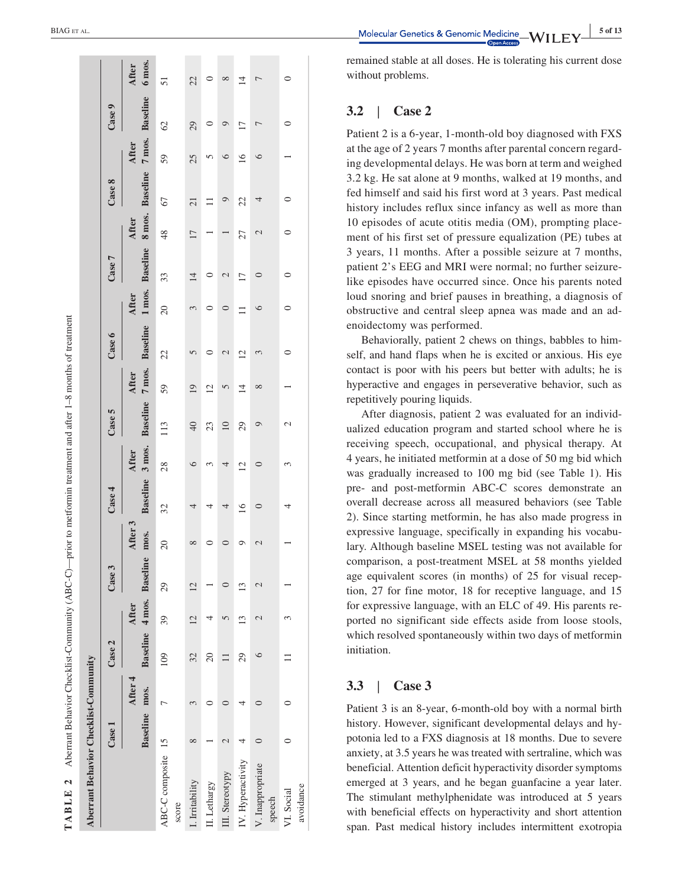| Aberrant Behavior Checklist-Community |              |                          |                          |                  |                 |                 |                |                |                  |                 |                                                                                          |                 |                 |       |                 |                 |                 |                        |
|---------------------------------------|--------------|--------------------------|--------------------------|------------------|-----------------|-----------------|----------------|----------------|------------------|-----------------|------------------------------------------------------------------------------------------|-----------------|-----------------|-------|-----------------|-----------------|-----------------|------------------------|
|                                       | $\bf Case 1$ |                          | Case 2                   |                  | Case 3          |                 | Case 4         |                | Case 5           |                 | Case 6                                                                                   |                 | Case 7          |       | Case 8          |                 | Case 9          |                        |
|                                       |              | Baseline mos.<br>After 4 | Baseline 4 mos. Baseline | After            |                 | After 3<br>mos. |                | After          |                  | After           | Baseline 3 mos. Baseline 7 mos. Baseline 1 mos. Baseline 8 mos. Baseline 7 mos. Baseline | After           |                 | After |                 | <b>After</b>    |                 | 6 mos.<br><b>After</b> |
| ABC-C composite 15<br>score           |              |                          | 109                      | 39               | 29              | $\overline{c}$  | 32             | 28             | 113              | 59              | 22                                                                                       | $\overline{20}$ | 33              | 48    | 67              | 59              | $\mathcal{O}$   | 51                     |
| . Irritability                        |              |                          | 32                       | $\overline{2}$   | $\overline{12}$ | $^{\circ}$      | 4              | $\circ$        | 40               | $\overline{19}$ | 5                                                                                        |                 | $\overline{14}$ | 17    | $\overline{21}$ | 25              | 29              | 22                     |
| II. Lethargy                          |              |                          | $\overline{c}$           |                  |                 |                 | 4              | 3              | 23               | $\overline{c}$  |                                                                                          |                 |                 |       |                 | n               |                 |                        |
| III. Stereotypy                       |              |                          |                          |                  |                 |                 | 4              | 4              | $\overline{10}$  | 5               | 2                                                                                        |                 | 2               |       | Q               | ७               | ⊝               | ∞                      |
| IV. Hyperactivity                     |              |                          | 29                       | $\overline{13}$  | 13              |                 | $\overline{0}$ | $\overline{c}$ | 29               | $\overline{1}$  | $\overline{2}$                                                                           |                 | $\Box$          | 27    | 22              | $\overline{16}$ | $\overline{17}$ | 4                      |
| V. Inappropriate<br>speech            |              |                          | 6                        | $\mathbin{\sim}$ | $\mathcal{C}$   | $\mathcal{C}$   | $\circ$        | 0              | $\circ$          | $\infty$        | 3                                                                                        | ∘               |                 | 2     | 4               | ∘               | 冖               |                        |
| avoidance<br>VI. Social               |              |                          |                          |                  |                 |                 |                | 3              | $\mathrel{\sim}$ |                 |                                                                                          |                 |                 | 0     |                 |                 | 0               |                        |

**EXAMPLE ALL** BIAG ET AL.

remained stable at all doses. He is tolerating his current dose without problems.

#### **3.2** | **Case 2**

Patient 2 is a 6 ‐year, 1 ‐month ‐old boy diagnosed with FXS at the age of 2 years 7 months after parental concern regard ing developmental delays. He was born at term and weighed 3.2 kg. He sat alone at 9 months, walked at 19 months, and fed himself and said his first word at 3 years. Past medical history includes reflux since infancy as well as more than 10 episodes of acute otitis media (OM), prompting place ment of his first set of pressure equalization (PE) tubes at 3 years, 11 months. After a possible seizure at 7 months, patient 2's EEG and MRI were normal; no further seizure ‐ like episodes have occurred since. Once his parents noted loud snoring and brief pauses in breathing, a diagnosis of obstructive and central sleep apnea was made and an ad enoidectomy was performed.

Behaviorally, patient 2 chews on things, babbles to him self, and hand flaps when he is excited or anxious. His eye contact is poor with his peers but better with adults; he is hyperactive and engages in perseverative behavior, such as repetitively pouring liquids.

After diagnosis, patient 2 was evaluated for an individ ualized education program and started school where he is receiving speech, occupational, and physical therapy. At 4 years, he initiated metformin at a dose of 50 mg bid which was gradually increased to 100 mg bid (see Table 1). His pre ‐ and post ‐metformin ABC ‐C scores demonstrate an overall decrease across all measured behaviors (see Table 2). Since starting metformin, he has also made progress in expressive language, specifically in expanding his vocabu lary. Although baseline MSEL testing was not available for comparison, a post ‐treatment MSEL at 58 months yielded age equivalent scores (in months) of 25 for visual reception, 27 for fine motor, 18 for receptive language, and 15 for expressive language, with an ELC of 49. His parents re ported no significant side effects aside from loose stools, which resolved spontaneously within two days of metformin initiation.

#### **3.3** | **Case 3**

Patient 3 is an 8-year, 6-month-old boy with a normal birth history. However, significant developmental delays and hy potonia led to a FXS diagnosis at 18 months. Due to severe anxiety, at 3.5 years he was treated with sertraline, which was beneficial. Attention deficit hyperactivity disorder symptoms emerged at 3 years, and he began guanfacine a year later. The stimulant methylphenidate was introduced at 5 years with beneficial effects on hyperactivity and short attention span. Past medical history includes intermittent exotropia

**TABLE 2**

TABLE 2

Aberrant Behavior Checklist‐Community (ABC‐C)—prior to metformin treatment and after 1–8 months of treatment

Aberrant Behavior Checklist-Community (ABC-C)—prior to metformin treatment and after  $1-8$  months of treatment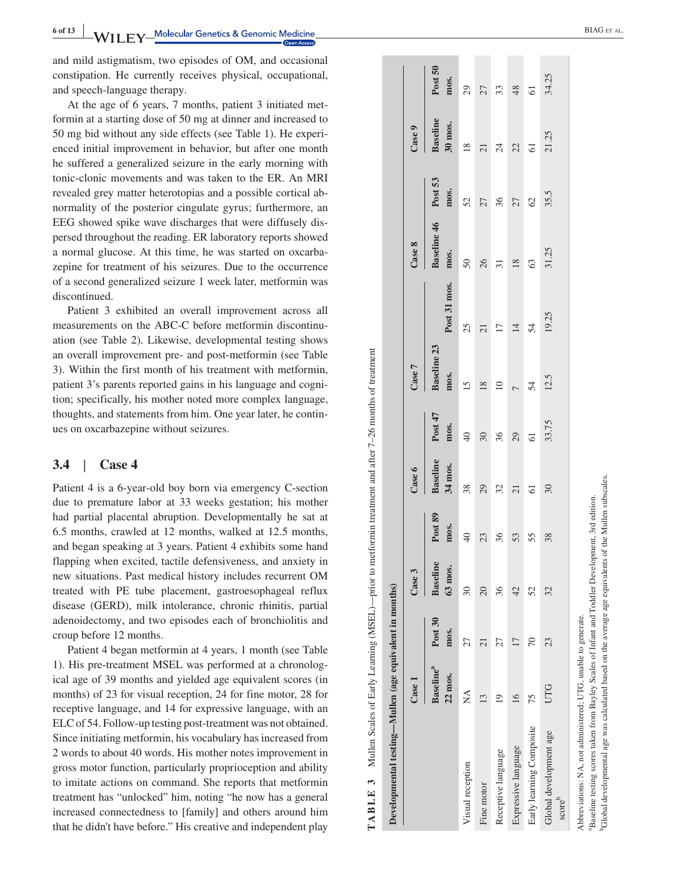**Molecular Genetics & Genomic Medicine** 

and mild astigmatism, two episodes of OM, and occasional constipation. He currently receives physical, occupational, and speech ‐language therapy.

At the age of 6 years, 7 months, patient 3 initiated met formin at a starting dose of 50 mg at dinner and increased to 50 mg bid without any side effects (see Table 1). He experi enced initial improvement in behavior, but after one month he suffered a generalized seizure in the early morning with tonic ‐clonic movements and was taken to the ER. An MRI revealed grey matter heterotopias and a possible cortical ab normality of the posterior cingulate gyrus; furthermore, an EEG showed spike wave discharges that were diffusely dis persed throughout the reading. ER laboratory reports showed a normal glucose. At this time, he was started on oxcarba zepine for treatment of his seizures. Due to the occurrence of a second generalized seizure 1 week later, metformin was discontinued.

Patient 3 exhibited an overall improvement across all measurements on the ABC ‐C before metformin discontinu ation (see Table 2). Likewise, developmental testing shows an overall improvement pre ‐ and post ‐metformin (see Table 3). Within the first month of his treatment with metformin, patient 3's parents reported gains in his language and cogni tion; specifically, his mother noted more complex language, thoughts, and statements from him. One year later, he contin ues on oxcarbazepine without seizures.

#### **3.4** | **Case 4**

Patient 4 is a 6-year-old boy born via emergency C-section due to premature labor at 33 weeks gestation; his mother had partial placental abruption. Developmentally he sat at 6.5 months, crawled at 12 months, walked at 12.5 months, and began speaking at 3 years. Patient 4 exhibits some hand flapping when excited, tactile defensiveness, and anxiety in new situations. Past medical history includes recurrent OM treated with PE tube placement, gastroesophageal reflux disease (GERD), milk intolerance, chronic rhinitis, partial adenoidectomy, and two episodes each of bronchiolitis and croup before 12 months.

Patient 4 began metformin at 4 years, 1 month (see Table 1). His pre ‐treatment MSEL was performed at a chronolog ical age of 39 months and yielded age equivalent scores (in months) of 23 for visual reception, 24 for fine motor, 28 for receptive language, and 14 for expressive language, with an ELC of 54. Follow ‐up testing post ‐treatment was not obtained. Since initiating metformin, his vocabulary has increased from 2 words to about 40 words. His mother notes improvement in gross motor function, particularly proprioception and ability to imitate actions on command. She reports that metformin treatment has "unlocked" him, noting "he now has a general increased connectedness to [family] and others around him that he didn't have before." His creative and independent play

aBaseline testing scores taken from Bayley Scales of Infant and Toddler Development, 3rd edition. bGlobal developmental age was calculated based on the average age equivalents of the Mullen subscales.

<sup>3</sup>Global developmental age was calculated based on the average age equivalents of the Mullen subscales. Baseline testing scores taken from Bayley Scales of Infant and Toddler Development, 3rd edition.

| Developmental testing—Mullen (age equivalent in months)       |                                         |                 |                            |                        |                            |                                  |                            |                                                        |                                                      |                              |                                              |                                |
|---------------------------------------------------------------|-----------------------------------------|-----------------|----------------------------|------------------------|----------------------------|----------------------------------|----------------------------|--------------------------------------------------------|------------------------------------------------------|------------------------------|----------------------------------------------|--------------------------------|
|                                                               | Case 1                                  |                 | Case 3                     |                        | Case 6                     |                                  | Case 7                     |                                                        | Case 8                                               |                              | Case 9                                       |                                |
|                                                               | <b>Baseline</b> <sup>a</sup><br>22 mos. | Post 30<br>mos. | <b>Baseline</b><br>63 mos. | Post 89                | <b>Baseline</b><br>34 mos. | Post 47                          | <b>Baseline 23</b><br>mos. |                                                        | Baseline 46 Post 53                                  |                              | <b>Baseline</b>                              | Post 50                        |
| Visual reception                                              | Ź                                       | 27              | $\overline{\mathrm{30}}$   | mos.<br>40<br>23<br>36 |                            | <b>mos.</b><br>49 30 36 29 51.75 |                            | Post 31 mos.<br>25<br>21<br>17<br>17<br>14<br>54<br>54 | mos.<br>50<br>50<br>51<br>31<br>51<br>53<br>51<br>25 | <b>mos.</b><br>52 53 62 53.5 | <b>30 mos.</b><br>18<br>21 24 24 25<br>21.25 | mos.<br>29 27 37 38 48 5 34.25 |
| Fine motor                                                    | $\epsilon$                              | ಸ               | $\overline{20}$            |                        |                            |                                  | $\frac{15}{18}$            |                                                        |                                                      |                              |                                              |                                |
| Receptive language                                            |                                         | 27              | 36                         |                        | 38 29 21 21                |                                  | $\overline{10}$            |                                                        |                                                      |                              |                                              |                                |
| Expressive language                                           | $\circ$                                 | $\overline{17}$ | 42                         | 53                     |                            |                                  |                            |                                                        |                                                      |                              |                                              |                                |
| Early learning Composite                                      | 75                                      | 70              | 52                         | 55                     |                            |                                  | $7\frac{54}{12.5}$         |                                                        |                                                      |                              |                                              |                                |
| Global development age<br>scoreb                              | UTG                                     | 23              | 32                         | 38                     | 30                         |                                  |                            |                                                        |                                                      |                              |                                              |                                |
| Abbreviations: NA, not administered; UTG, unable to generate. |                                         |                 |                            |                        |                            |                                  |                            |                                                        |                                                      |                              |                                              |                                |

Mullen Scales of Early Learning (MSEL)—prior to metformin treatment and after 7-26 months of treatment **TABLE 3** Mullen Scales of Early Learning (MSEL)—prior to metformin treatment and after 7–26 months of treatment  $\ddot{\bm{5}}$ TABLE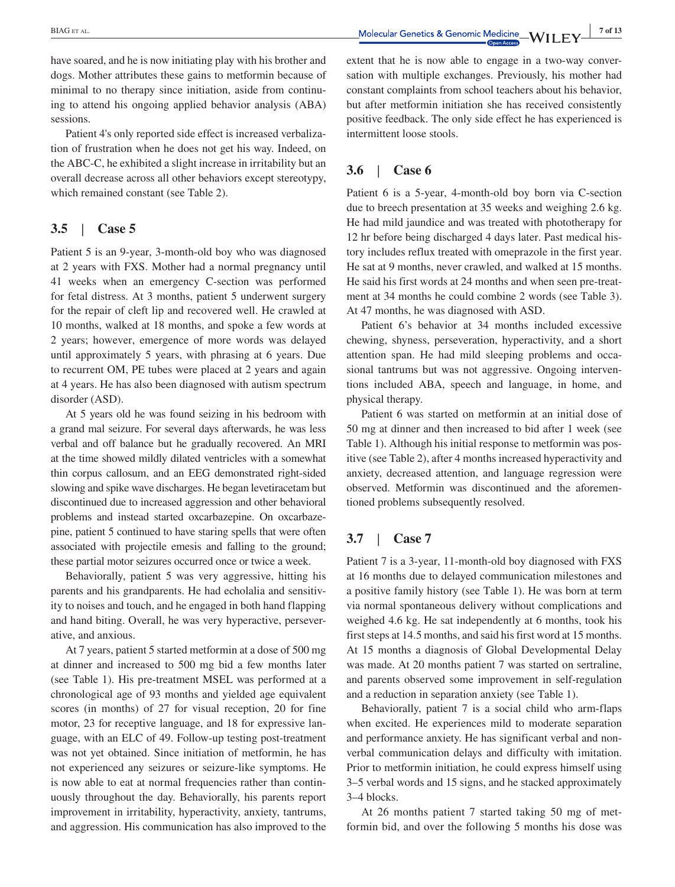have soared, and he is now initiating play with his brother and dogs. Mother attributes these gains to metformin because of minimal to no therapy since initiation, aside from continuing to attend his ongoing applied behavior analysis (ABA) sessions.

Patient 4's only reported side effect is increased verbalization of frustration when he does not get his way. Indeed, on the ABC‐C, he exhibited a slight increase in irritability but an overall decrease across all other behaviors except stereotypy, which remained constant (see Table 2).

# **3.5** | **Case 5**

Patient 5 is an 9‐year, 3‐month‐old boy who was diagnosed at 2 years with FXS. Mother had a normal pregnancy until 41 weeks when an emergency C‐section was performed for fetal distress. At 3 months, patient 5 underwent surgery for the repair of cleft lip and recovered well. He crawled at 10 months, walked at 18 months, and spoke a few words at 2 years; however, emergence of more words was delayed until approximately 5 years, with phrasing at 6 years. Due to recurrent OM, PE tubes were placed at 2 years and again at 4 years. He has also been diagnosed with autism spectrum disorder (ASD).

At 5 years old he was found seizing in his bedroom with a grand mal seizure. For several days afterwards, he was less verbal and off balance but he gradually recovered. An MRI at the time showed mildly dilated ventricles with a somewhat thin corpus callosum, and an EEG demonstrated right‐sided slowing and spike wave discharges. He began levetiracetam but discontinued due to increased aggression and other behavioral problems and instead started oxcarbazepine. On oxcarbazepine, patient 5 continued to have staring spells that were often associated with projectile emesis and falling to the ground; these partial motor seizures occurred once or twice a week.

Behaviorally, patient 5 was very aggressive, hitting his parents and his grandparents. He had echolalia and sensitivity to noises and touch, and he engaged in both hand flapping and hand biting. Overall, he was very hyperactive, perseverative, and anxious.

At 7 years, patient 5 started metformin at a dose of 500 mg at dinner and increased to 500 mg bid a few months later (see Table 1). His pre‐treatment MSEL was performed at a chronological age of 93 months and yielded age equivalent scores (in months) of 27 for visual reception, 20 for fine motor, 23 for receptive language, and 18 for expressive language, with an ELC of 49. Follow‐up testing post‐treatment was not yet obtained. Since initiation of metformin, he has not experienced any seizures or seizure‐like symptoms. He is now able to eat at normal frequencies rather than continuously throughout the day. Behaviorally, his parents report improvement in irritability, hyperactivity, anxiety, tantrums, and aggression. His communication has also improved to the extent that he is now able to engage in a two-way conversation with multiple exchanges. Previously, his mother had constant complaints from school teachers about his behavior, but after metformin initiation she has received consistently positive feedback. The only side effect he has experienced is intermittent loose stools.

# **3.6** | **Case 6**

Patient 6 is a 5‐year, 4‐month‐old boy born via C‐section due to breech presentation at 35 weeks and weighing 2.6 kg. He had mild jaundice and was treated with phototherapy for 12 hr before being discharged 4 days later. Past medical history includes reflux treated with omeprazole in the first year. He sat at 9 months, never crawled, and walked at 15 months. He said his first words at 24 months and when seen pre‐treatment at 34 months he could combine 2 words (see Table 3). At 47 months, he was diagnosed with ASD.

Patient 6's behavior at 34 months included excessive chewing, shyness, perseveration, hyperactivity, and a short attention span. He had mild sleeping problems and occasional tantrums but was not aggressive. Ongoing interventions included ABA, speech and language, in home, and physical therapy.

Patient 6 was started on metformin at an initial dose of 50 mg at dinner and then increased to bid after 1 week (see Table 1). Although his initial response to metformin was positive (see Table 2), after 4 months increased hyperactivity and anxiety, decreased attention, and language regression were observed. Metformin was discontinued and the aforementioned problems subsequently resolved.

# **3.7** | **Case 7**

Patient 7 is a 3‐year, 11‐month‐old boy diagnosed with FXS at 16 months due to delayed communication milestones and a positive family history (see Table 1). He was born at term via normal spontaneous delivery without complications and weighed 4.6 kg. He sat independently at 6 months, took his first steps at 14.5 months, and said his first word at 15 months. At 15 months a diagnosis of Global Developmental Delay was made. At 20 months patient 7 was started on sertraline, and parents observed some improvement in self‐regulation and a reduction in separation anxiety (see Table 1).

Behaviorally, patient 7 is a social child who arm‐flaps when excited. He experiences mild to moderate separation and performance anxiety. He has significant verbal and nonverbal communication delays and difficulty with imitation. Prior to metformin initiation, he could express himself using 3–5 verbal words and 15 signs, and he stacked approximately 3–4 blocks.

At 26 months patient 7 started taking 50 mg of metformin bid, and over the following 5 months his dose was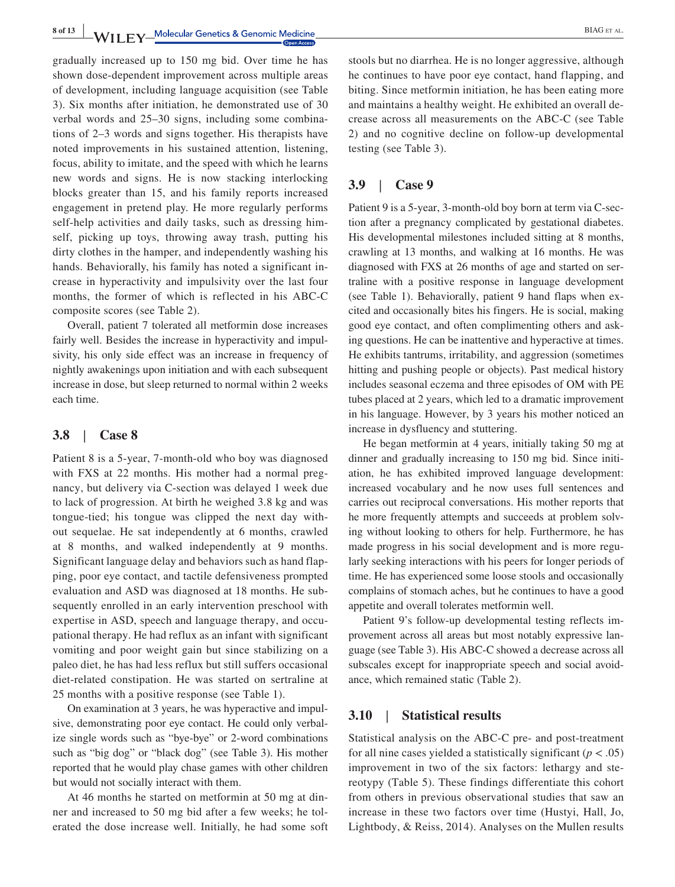8 of 13 **WII FY** Molecular Genetics & Genomic Medicine **CONSIDERING ET AL.** 

gradually increased up to 150 mg bid. Over time he has shown dose‐dependent improvement across multiple areas of development, including language acquisition (see Table 3). Six months after initiation, he demonstrated use of 30 verbal words and 25–30 signs, including some combinations of 2–3 words and signs together. His therapists have noted improvements in his sustained attention, listening, focus, ability to imitate, and the speed with which he learns new words and signs. He is now stacking interlocking blocks greater than 15, and his family reports increased engagement in pretend play. He more regularly performs self-help activities and daily tasks, such as dressing himself, picking up toys, throwing away trash, putting his dirty clothes in the hamper, and independently washing his hands. Behaviorally, his family has noted a significant increase in hyperactivity and impulsivity over the last four months, the former of which is reflected in his ABC‐C composite scores (see Table 2).

Overall, patient 7 tolerated all metformin dose increases fairly well. Besides the increase in hyperactivity and impulsivity, his only side effect was an increase in frequency of nightly awakenings upon initiation and with each subsequent increase in dose, but sleep returned to normal within 2 weeks each time.

# **3.8** | **Case 8**

Patient 8 is a 5‐year, 7‐month‐old who boy was diagnosed with FXS at 22 months. His mother had a normal pregnancy, but delivery via C‐section was delayed 1 week due to lack of progression. At birth he weighed 3.8 kg and was tongue‐tied; his tongue was clipped the next day without sequelae. He sat independently at 6 months, crawled at 8 months, and walked independently at 9 months. Significant language delay and behaviors such as hand flapping, poor eye contact, and tactile defensiveness prompted evaluation and ASD was diagnosed at 18 months. He subsequently enrolled in an early intervention preschool with expertise in ASD, speech and language therapy, and occupational therapy. He had reflux as an infant with significant vomiting and poor weight gain but since stabilizing on a paleo diet, he has had less reflux but still suffers occasional diet‐related constipation. He was started on sertraline at 25 months with a positive response (see Table 1).

On examination at 3 years, he was hyperactive and impulsive, demonstrating poor eye contact. He could only verbalize single words such as "bye‐bye" or 2‐word combinations such as "big dog" or "black dog" (see Table 3). His mother reported that he would play chase games with other children but would not socially interact with them.

At 46 months he started on metformin at 50 mg at dinner and increased to 50 mg bid after a few weeks; he tolerated the dose increase well. Initially, he had some soft stools but no diarrhea. He is no longer aggressive, although he continues to have poor eye contact, hand flapping, and biting. Since metformin initiation, he has been eating more and maintains a healthy weight. He exhibited an overall decrease across all measurements on the ABC‐C (see Table 2) and no cognitive decline on follow‐up developmental testing (see Table 3).

# **3.9** | **Case 9**

Patient 9 is a 5‐year, 3‐month‐old boy born at term via C‐section after a pregnancy complicated by gestational diabetes. His developmental milestones included sitting at 8 months, crawling at 13 months, and walking at 16 months. He was diagnosed with FXS at 26 months of age and started on sertraline with a positive response in language development (see Table 1). Behaviorally, patient 9 hand flaps when excited and occasionally bites his fingers. He is social, making good eye contact, and often complimenting others and asking questions. He can be inattentive and hyperactive at times. He exhibits tantrums, irritability, and aggression (sometimes hitting and pushing people or objects). Past medical history includes seasonal eczema and three episodes of OM with PE tubes placed at 2 years, which led to a dramatic improvement in his language. However, by 3 years his mother noticed an increase in dysfluency and stuttering.

He began metformin at 4 years, initially taking 50 mg at dinner and gradually increasing to 150 mg bid. Since initiation, he has exhibited improved language development: increased vocabulary and he now uses full sentences and carries out reciprocal conversations. His mother reports that he more frequently attempts and succeeds at problem solving without looking to others for help. Furthermore, he has made progress in his social development and is more regularly seeking interactions with his peers for longer periods of time. He has experienced some loose stools and occasionally complains of stomach aches, but he continues to have a good appetite and overall tolerates metformin well.

Patient 9's follow‐up developmental testing reflects improvement across all areas but most notably expressive language (see Table 3). His ABC‐C showed a decrease across all subscales except for inappropriate speech and social avoidance, which remained static (Table 2).

# **3.10** | **Statistical results**

Statistical analysis on the ABC‐C pre‐ and post‐treatment for all nine cases yielded a statistically significant  $(p < .05)$ improvement in two of the six factors: lethargy and stereotypy (Table 5). These findings differentiate this cohort from others in previous observational studies that saw an increase in these two factors over time (Hustyi, Hall, Jo, Lightbody, & Reiss, 2014). Analyses on the Mullen results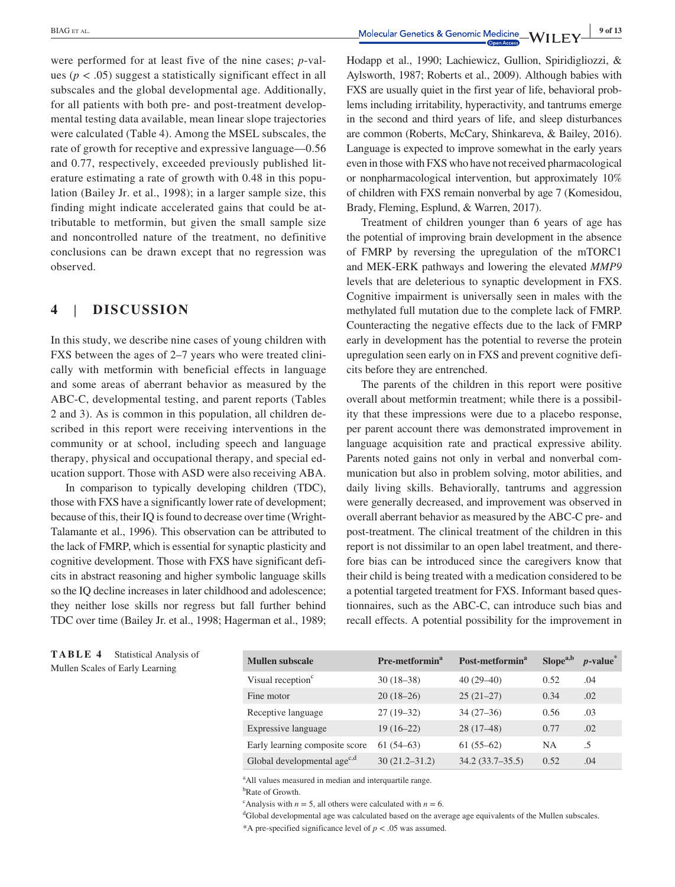were performed for at least five of the nine cases; *p*-values ( $p < .05$ ) suggest a statistically significant effect in all subscales and the global developmental age. Additionally, for all patients with both pre- and post-treatment developmental testing data available, mean linear slope trajectories were calculated (Table 4). Among the MSEL subscales, the rate of growth for receptive and expressive language—0.56 and 0.77, respectively, exceeded previously published literature estimating a rate of growth with 0.48 in this population (Bailey Jr. et al., 1998); in a larger sample size, this finding might indicate accelerated gains that could be attributable to metformin, but given the small sample size and noncontrolled nature of the treatment, no definitive conclusions can be drawn except that no regression was observed.

# **4** | **DISCUSSION**

In this study, we describe nine cases of young children with FXS between the ages of 2–7 years who were treated clinically with metformin with beneficial effects in language and some areas of aberrant behavior as measured by the ABC‐C, developmental testing, and parent reports (Tables 2 and 3). As is common in this population, all children described in this report were receiving interventions in the community or at school, including speech and language therapy, physical and occupational therapy, and special education support. Those with ASD were also receiving ABA.

In comparison to typically developing children (TDC), those with FXS have a significantly lower rate of development; because of this, their IQ is found to decrease over time (Wright-Talamante et al., 1996). This observation can be attributed to the lack of FMRP, which is essential for synaptic plasticity and cognitive development. Those with FXS have significant deficits in abstract reasoning and higher symbolic language skills so the IQ decline increases in later childhood and adolescence; they neither lose skills nor regress but fall further behind TDC over time (Bailey Jr. et al., 1998; Hagerman et al., 1989;

**TABLE 4** Statistical Analysis of Mullen Scales of Early Learning

Hodapp et al., 1990; Lachiewicz, Gullion, Spiridigliozzi, & Aylsworth, 1987; Roberts et al., 2009). Although babies with FXS are usually quiet in the first year of life, behavioral problems including irritability, hyperactivity, and tantrums emerge in the second and third years of life, and sleep disturbances are common (Roberts, McCary, Shinkareva, & Bailey, 2016). Language is expected to improve somewhat in the early years even in those with FXS who have not received pharmacological or nonpharmacological intervention, but approximately 10% of children with FXS remain nonverbal by age 7 (Komesidou, Brady, Fleming, Esplund, & Warren, 2017).

Treatment of children younger than 6 years of age has the potential of improving brain development in the absence of FMRP by reversing the upregulation of the mTORC1 and MEK‐ERK pathways and lowering the elevated *MMP9* levels that are deleterious to synaptic development in FXS. Cognitive impairment is universally seen in males with the methylated full mutation due to the complete lack of FMRP. Counteracting the negative effects due to the lack of FMRP early in development has the potential to reverse the protein upregulation seen early on in FXS and prevent cognitive deficits before they are entrenched.

The parents of the children in this report were positive overall about metformin treatment; while there is a possibility that these impressions were due to a placebo response, per parent account there was demonstrated improvement in language acquisition rate and practical expressive ability. Parents noted gains not only in verbal and nonverbal communication but also in problem solving, motor abilities, and daily living skills. Behaviorally, tantrums and aggression were generally decreased, and improvement was observed in overall aberrant behavior as measured by the ABC‐C pre‐ and post‐treatment. The clinical treatment of the children in this report is not dissimilar to an open label treatment, and therefore bias can be introduced since the caregivers know that their child is being treated with a medication considered to be a potential targeted treatment for FXS. Informant based questionnaires, such as the ABC‐C, can introduce such bias and recall effects. A potential possibility for the improvement in

| <b>Mullen subscale</b>                  | Pre-metformin <sup>a</sup> | Post-metformin <sup>a</sup> | Slope <sup>a,b</sup> | $p$ -value $\ddot{\ }$ |
|-----------------------------------------|----------------------------|-----------------------------|----------------------|------------------------|
| Visual reception <sup>c</sup>           | $30(18-38)$                | $40(29-40)$                 | 0.52                 | .04                    |
| Fine motor                              | $20(18-26)$                | $25(21-27)$                 | 0.34                 | .02                    |
| Receptive language                      | $27(19-32)$                | $34(27-36)$                 | 0.56                 | .03                    |
| Expressive language                     | $19(16-22)$                | $28(17-48)$                 | 0.77                 | .02                    |
| Early learning composite score          | $61(54-63)$                | $61(55-62)$                 | <b>NA</b>            | .5                     |
| Global developmental age <sup>c,d</sup> | $30(21.2 - 31.2)$          | $34.2(33.7-35.5)$           | 0.52                 | .04                    |

<sup>a</sup> All values measured in median and interquartile range.<br><sup>b</sup>Rate of Growth

<sup>b</sup>Rate of Growth.

<sup>c</sup>Analysis with *n* = 5, all others were calculated with *n* = 6.  $\frac{d}{dx}$  doubled developmental are was calculated based on the ave

<sup>d</sup>Global developmental age was calculated based on the average age equivalents of the Mullen subscales.

\*A pre-specified significance level of  $p < .05$  was assumed.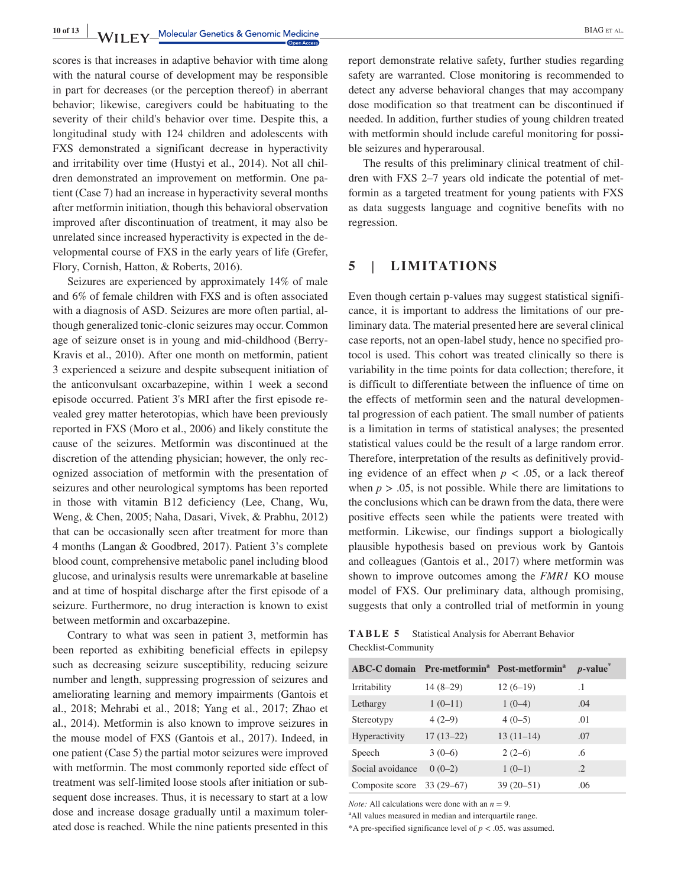**10 of 13 <sup>|</sup>** BIAG ET AL.

scores is that increases in adaptive behavior with time along with the natural course of development may be responsible in part for decreases (or the perception thereof) in aberrant behavior; likewise, caregivers could be habituating to the severity of their child's behavior over time. Despite this, a longitudinal study with 124 children and adolescents with FXS demonstrated a significant decrease in hyperactivity and irritability over time (Hustyi et al., 2014). Not all children demonstrated an improvement on metformin. One patient (Case 7) had an increase in hyperactivity several months after metformin initiation, though this behavioral observation improved after discontinuation of treatment, it may also be unrelated since increased hyperactivity is expected in the developmental course of FXS in the early years of life (Grefer, Flory, Cornish, Hatton, & Roberts, 2016).

Seizures are experienced by approximately 14% of male and 6% of female children with FXS and is often associated with a diagnosis of ASD. Seizures are more often partial, although generalized tonic‐clonic seizures may occur. Common age of seizure onset is in young and mid‐childhood (Berry‐ Kravis et al., 2010). After one month on metformin, patient 3 experienced a seizure and despite subsequent initiation of the anticonvulsant oxcarbazepine, within 1 week a second episode occurred. Patient 3's MRI after the first episode revealed grey matter heterotopias, which have been previously reported in FXS (Moro et al., 2006) and likely constitute the cause of the seizures. Metformin was discontinued at the discretion of the attending physician; however, the only recognized association of metformin with the presentation of seizures and other neurological symptoms has been reported in those with vitamin B12 deficiency (Lee, Chang, Wu, Weng, & Chen, 2005; Naha, Dasari, Vivek, & Prabhu, 2012) that can be occasionally seen after treatment for more than 4 months (Langan & Goodbred, 2017). Patient 3's complete blood count, comprehensive metabolic panel including blood glucose, and urinalysis results were unremarkable at baseline and at time of hospital discharge after the first episode of a seizure. Furthermore, no drug interaction is known to exist between metformin and oxcarbazepine.

Contrary to what was seen in patient 3, metformin has been reported as exhibiting beneficial effects in epilepsy such as decreasing seizure susceptibility, reducing seizure number and length, suppressing progression of seizures and ameliorating learning and memory impairments (Gantois et al., 2018; Mehrabi et al., 2018; Yang et al., 2017; Zhao et al., 2014). Metformin is also known to improve seizures in the mouse model of FXS (Gantois et al., 2017). Indeed, in one patient (Case 5) the partial motor seizures were improved with metformin. The most commonly reported side effect of treatment was self‐limited loose stools after initiation or subsequent dose increases. Thus, it is necessary to start at a low dose and increase dosage gradually until a maximum tolerated dose is reached. While the nine patients presented in this report demonstrate relative safety, further studies regarding safety are warranted. Close monitoring is recommended to detect any adverse behavioral changes that may accompany dose modification so that treatment can be discontinued if needed. In addition, further studies of young children treated with metformin should include careful monitoring for possible seizures and hyperarousal.

The results of this preliminary clinical treatment of children with FXS 2–7 years old indicate the potential of metformin as a targeted treatment for young patients with FXS as data suggests language and cognitive benefits with no regression.

# **5** | **LIMITATIONS**

Even though certain p-values may suggest statistical significance, it is important to address the limitations of our preliminary data. The material presented here are several clinical case reports, not an open‐label study, hence no specified protocol is used. This cohort was treated clinically so there is variability in the time points for data collection; therefore, it is difficult to differentiate between the influence of time on the effects of metformin seen and the natural developmental progression of each patient. The small number of patients is a limitation in terms of statistical analyses; the presented statistical values could be the result of a large random error. Therefore, interpretation of the results as definitively providing evidence of an effect when  $p < .05$ , or a lack thereof when  $p > 0.05$ , is not possible. While there are limitations to the conclusions which can be drawn from the data, there were positive effects seen while the patients were treated with metformin. Likewise, our findings support a biologically plausible hypothesis based on previous work by Gantois and colleagues (Gantois et al., 2017) where metformin was shown to improve outcomes among the *FMR1* KO mouse model of FXS. Our preliminary data, although promising, suggests that only a controlled trial of metformin in young

| TABLE 5             | <b>Statistical Analysis for Aberrant Behavior</b> |  |
|---------------------|---------------------------------------------------|--|
| Checklist-Community |                                                   |  |

|                  |             | ABC-C domain Pre-metformin <sup>a</sup> Post-metformin <sup>a</sup> | $p$ -value <sup>*</sup> |
|------------------|-------------|---------------------------------------------------------------------|-------------------------|
| Irritability     | $14(8-29)$  | $12(6-19)$                                                          | $\cdot$ 1               |
| Lethargy         | $1(0-11)$   | $1(0-4)$                                                            | .04                     |
| Stereotypy       | $4(2-9)$    | $4(0-5)$                                                            | .01                     |
| Hyperactivity    | $17(13-22)$ | $13(11-14)$                                                         | .07                     |
| Speech           | $3(0-6)$    | $2(2-6)$                                                            | .6                      |
| Social avoidance | $0(0-2)$    | $1(0-1)$                                                            | $\mathcal{L}$           |
| Composite score  | $33(29-67)$ | $39(20 - 51)$                                                       | .06                     |

*Note:* All calculations were done with an  $n = 9$ .

<sup>a</sup>All values measured in median and interquartile range.

\*A pre-specified significance level of  $p < .05$ . was assumed.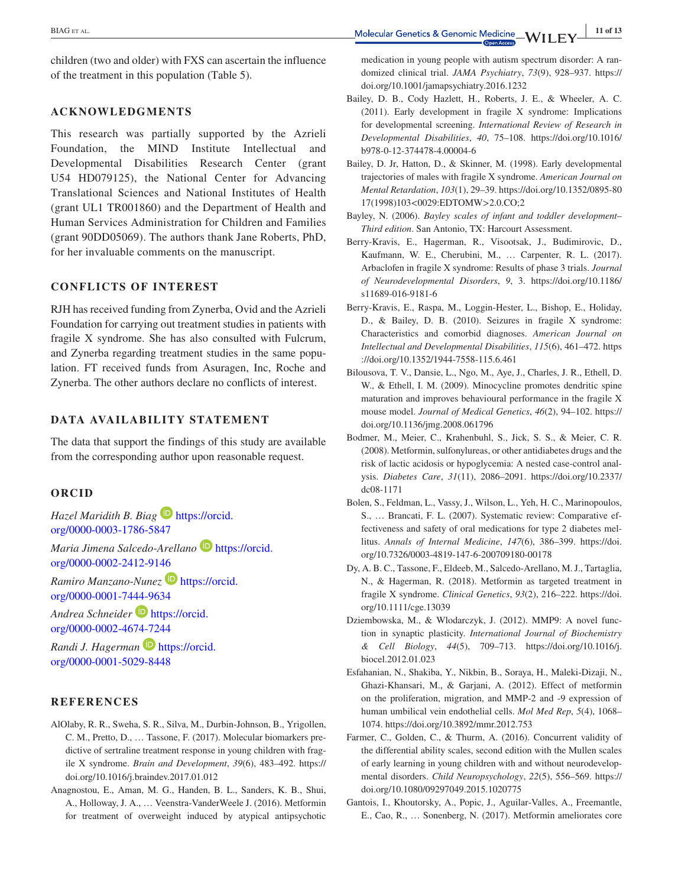children (two and older) with FXS can ascertain the influence of the treatment in this population (Table 5).

#### **ACKNOWLEDGMENTS**

This research was partially supported by the Azrieli Foundation, the MIND Institute Intellectual and Developmental Disabilities Research Center (grant U54 HD079125), the National Center for Advancing Translational Sciences and National Institutes of Health (grant UL1 TR001860) and the Department of Health and Human Services Administration for Children and Families (grant 90DD05069). The authors thank Jane Roberts, PhD, for her invaluable comments on the manuscript.

### **CONFLICTS OF INTEREST**

RJH has received funding from Zynerba, Ovid and the Azrieli Foundation for carrying out treatment studies in patients with fragile X syndrome. She has also consulted with Fulcrum, and Zynerba regarding treatment studies in the same population. FT received funds from Asuragen, Inc, Roche and Zynerba. The other authors declare no conflicts of interest.

### **DATA AVAILABILITY STATEMENT**

The data that support the findings of this study are available from the corresponding author upon reasonable request.

#### **ORCID**

*Hazel Maridith B. Biag* **b** [https://orcid.](https://orcid.org/0000-0003-1786-5847) [org/0000-0003-1786-5847](https://orcid.org/0000-0003-1786-5847)

*Maria Jimena Salcedo-Arellano* ▶ [https://orcid.](https://orcid.org/0000-0002-2412-9146) [org/0000-0002-2412-9146](https://orcid.org/0000-0002-2412-9146)

*Ramiro Manzano*-*Nunez* **D** [https://orcid.](https://orcid.org/0000-0001-7444-9634) [org/0000-0001-7444-9634](https://orcid.org/0000-0001-7444-9634)

*Andrea Schneider* [https://orcid.](https://orcid.org/0000-0002-4674-7244) [org/0000-0002-4674-7244](https://orcid.org/0000-0002-4674-7244)

*Randi J. Hagerman* **[https://orcid.](https://orcid.org/0000-0001-5029-8448)** [org/0000-0001-5029-8448](https://orcid.org/0000-0001-5029-8448)

# **REFERENCES**

- AlOlaby, R. R., Sweha, S. R., Silva, M., Durbin‐Johnson, B., Yrigollen, C. M., Pretto, D., … Tassone, F. (2017). Molecular biomarkers predictive of sertraline treatment response in young children with fragile X syndrome. *Brain and Development*, *39*(6), 483–492. [https://](https://doi.org/10.1016/j.braindev.2017.01.012) [doi.org/10.1016/j.braindev.2017.01.012](https://doi.org/10.1016/j.braindev.2017.01.012)
- Anagnostou, E., Aman, M. G., Handen, B. L., Sanders, K. B., Shui, A., Holloway, J. A., … Veenstra‐VanderWeele J. (2016). Metformin for treatment of overweight induced by atypical antipsychotic

medication in young people with autism spectrum disorder: A randomized clinical trial. *JAMA Psychiatry*, *73*(9), 928–937. [https://](https://doi.org/10.1001/jamapsychiatry.2016.1232) [doi.org/10.1001/jamapsychiatry.2016.1232](https://doi.org/10.1001/jamapsychiatry.2016.1232)

- Bailey, D. B., Cody Hazlett, H., Roberts, J. E., & Wheeler, A. C. (2011). Early development in fragile X syndrome: Implications for developmental screening. *International Review of Research in Developmental Disabilities*, *40*, 75–108. [https://doi.org/10.1016/](https://doi.org/10.1016/b978-0-12-374478-4.00004-6) [b978-0-12-374478-4.00004-6](https://doi.org/10.1016/b978-0-12-374478-4.00004-6)
- Bailey, D. Jr, Hatton, D., & Skinner, M. (1998). Early developmental trajectories of males with fragile X syndrome. *American Journal on Mental Retardation*, *103*(1), 29–39. [https://doi.org/10.1352/0895-80](https://doi.org/10.1352/0895-8017(1998)103%3C0029:EDTOMW%3E2.0.CO;2) [17\(1998\)103<0029:EDTOMW>2.0.CO;2](https://doi.org/10.1352/0895-8017(1998)103%3C0029:EDTOMW%3E2.0.CO;2)
- Bayley, N. (2006). *Bayley scales of infant and toddler development– Third edition*. San Antonio, TX: Harcourt Assessment.
- Berry‐Kravis, E., Hagerman, R., Visootsak, J., Budimirovic, D., Kaufmann, W. E., Cherubini, M., … Carpenter, R. L. (2017). Arbaclofen in fragile X syndrome: Results of phase 3 trials. *Journal of Neurodevelopmental Disorders*, *9*, 3. [https://doi.org/10.1186/](https://doi.org/10.1186/s11689-016-9181-6) [s11689-016-9181-6](https://doi.org/10.1186/s11689-016-9181-6)
- Berry‐Kravis, E., Raspa, M., Loggin‐Hester, L., Bishop, E., Holiday, D., & Bailey, D. B. (2010). Seizures in fragile X syndrome: Characteristics and comorbid diagnoses. *American Journal on Intellectual and Developmental Disabilities*, *115*(6), 461–472. [https](https://doi.org/10.1352/1944-7558-115.6.461) [://doi.org/10.1352/1944-7558-115.6.461](https://doi.org/10.1352/1944-7558-115.6.461)
- Bilousova, T. V., Dansie, L., Ngo, M., Aye, J., Charles, J. R., Ethell, D. W., & Ethell, I. M. (2009). Minocycline promotes dendritic spine maturation and improves behavioural performance in the fragile X mouse model. *Journal of Medical Genetics*, *46*(2), 94–102. [https://](https://doi.org/10.1136/jmg.2008.061796) [doi.org/10.1136/jmg.2008.061796](https://doi.org/10.1136/jmg.2008.061796)
- Bodmer, M., Meier, C., Krahenbuhl, S., Jick, S. S., & Meier, C. R. (2008). Metformin, sulfonylureas, or other antidiabetes drugs and the risk of lactic acidosis or hypoglycemia: A nested case‐control analysis. *Diabetes Care*, *31*(11), 2086–2091. [https://doi.org/10.2337/](https://doi.org/10.2337/dc08-1171) [dc08-1171](https://doi.org/10.2337/dc08-1171)
- Bolen, S., Feldman, L., Vassy, J., Wilson, L., Yeh, H. C., Marinopoulos, S., … Brancati, F. L. (2007). Systematic review: Comparative effectiveness and safety of oral medications for type 2 diabetes mellitus. *Annals of Internal Medicine*, *147*(6), 386–399. [https://doi.](https://doi.org/10.7326/0003-4819-147-6-200709180-00178) [org/10.7326/0003-4819-147-6-200709180-00178](https://doi.org/10.7326/0003-4819-147-6-200709180-00178)
- Dy, A. B. C., Tassone, F., Eldeeb, M., Salcedo‐Arellano, M. J., Tartaglia, N., & Hagerman, R. (2018). Metformin as targeted treatment in fragile X syndrome. *Clinical Genetics*, *93*(2), 216–222. [https://doi.](https://doi.org/10.1111/cge.13039) [org/10.1111/cge.13039](https://doi.org/10.1111/cge.13039)
- Dziembowska, M., & Wlodarczyk, J. (2012). MMP9: A novel function in synaptic plasticity. *International Journal of Biochemistry & Cell Biology*, *44*(5), 709–713. [https://doi.org/10.1016/j.](https://doi.org/10.1016/j.biocel.2012.01.023) [biocel.2012.01.023](https://doi.org/10.1016/j.biocel.2012.01.023)
- Esfahanian, N., Shakiba, Y., Nikbin, B., Soraya, H., Maleki‐Dizaji, N., Ghazi‐Khansari, M., & Garjani, A. (2012). Effect of metformin on the proliferation, migration, and MMP‐2 and ‐9 expression of human umbilical vein endothelial cells. *Mol Med Rep*, *5*(4), 1068– 1074.<https://doi.org/10.3892/mmr.2012.753>
- Farmer, C., Golden, C., & Thurm, A. (2016). Concurrent validity of the differential ability scales, second edition with the Mullen scales of early learning in young children with and without neurodevelopmental disorders. *Child Neuropsychology*, *22*(5), 556–569. [https://](https://doi.org/10.1080/09297049.2015.1020775) [doi.org/10.1080/09297049.2015.1020775](https://doi.org/10.1080/09297049.2015.1020775)
- Gantois, I., Khoutorsky, A., Popic, J., Aguilar‐Valles, A., Freemantle, E., Cao, R., … Sonenberg, N. (2017). Metformin ameliorates core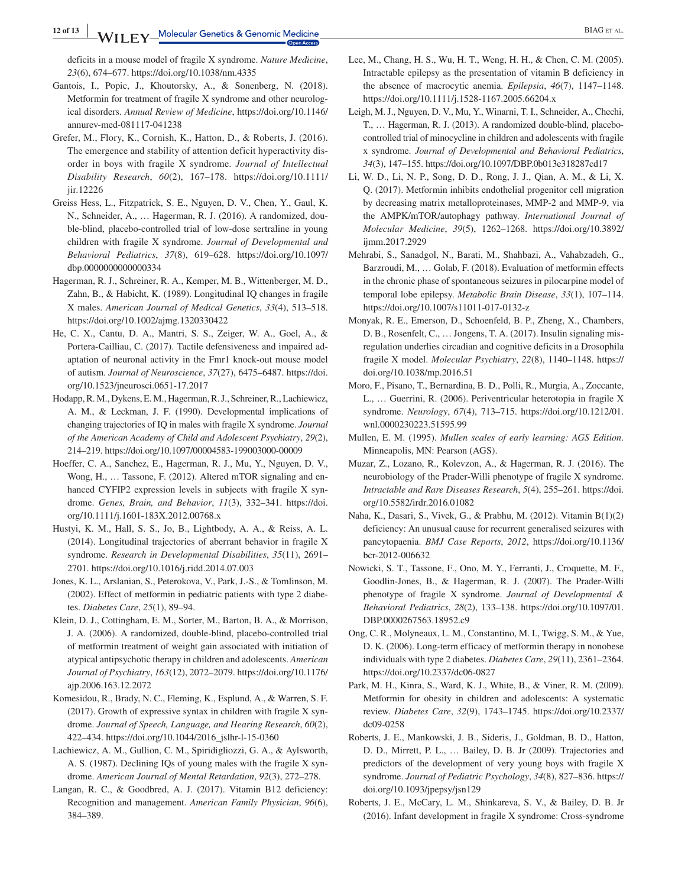deficits in a mouse model of fragile X syndrome. *Nature Medicine*, *23*(6), 674–677.<https://doi.org/10.1038/nm.4335>

- Gantois, I., Popic, J., Khoutorsky, A., & Sonenberg, N. (2018). Metformin for treatment of fragile X syndrome and other neurological disorders. *Annual Review of Medicine*, [https://doi.org/10.1146/](https://doi.org/10.1146/annurev-med-081117-041238) [annurev-med-081117-041238](https://doi.org/10.1146/annurev-med-081117-041238)
- Grefer, M., Flory, K., Cornish, K., Hatton, D., & Roberts, J. (2016). The emergence and stability of attention deficit hyperactivity disorder in boys with fragile X syndrome. *Journal of Intellectual Disability Research*, *60*(2), 167–178. [https://doi.org/10.1111/](https://doi.org/10.1111/jir.12226) [jir.12226](https://doi.org/10.1111/jir.12226)
- Greiss Hess, L., Fitzpatrick, S. E., Nguyen, D. V., Chen, Y., Gaul, K. N., Schneider, A., … Hagerman, R. J. (2016). A randomized, double‐blind, placebo‐controlled trial of low‐dose sertraline in young children with fragile X syndrome. *Journal of Developmental and Behavioral Pediatrics*, *37*(8), 619–628. [https://doi.org/10.1097/](https://doi.org/10.1097/dbp.0000000000000334) [dbp.0000000000000334](https://doi.org/10.1097/dbp.0000000000000334)
- Hagerman, R. J., Schreiner, R. A., Kemper, M. B., Wittenberger, M. D., Zahn, B., & Habicht, K. (1989). Longitudinal IQ changes in fragile X males. *American Journal of Medical Genetics*, *33*(4), 513–518. <https://doi.org/10.1002/ajmg.1320330422>
- He, C. X., Cantu, D. A., Mantri, S. S., Zeiger, W. A., Goel, A., & Portera‐Cailliau, C. (2017). Tactile defensiveness and impaired adaptation of neuronal activity in the Fmr1 knock‐out mouse model of autism. *Journal of Neuroscience*, *37*(27), 6475–6487. [https://doi.](https://doi.org/10.1523/jneurosci.0651-17.2017) [org/10.1523/jneurosci.0651-17.2017](https://doi.org/10.1523/jneurosci.0651-17.2017)
- Hodapp, R. M., Dykens, E. M., Hagerman, R. J., Schreiner, R., Lachiewicz, A. M., & Leckman, J. F. (1990). Developmental implications of changing trajectories of IQ in males with fragile X syndrome. *Journal of the American Academy of Child and Adolescent Psychiatry*, *29*(2), 214–219. <https://doi.org/10.1097/00004583-199003000-00009>
- Hoeffer, C. A., Sanchez, E., Hagerman, R. J., Mu, Y., Nguyen, D. V., Wong, H., … Tassone, F. (2012). Altered mTOR signaling and enhanced CYFIP2 expression levels in subjects with fragile X syndrome. *Genes, Brain, and Behavior*, *11*(3), 332–341. [https://doi.](https://doi.org/10.1111/j.1601-183X.2012.00768.x) [org/10.1111/j.1601-183X.2012.00768.x](https://doi.org/10.1111/j.1601-183X.2012.00768.x)
- Hustyi, K. M., Hall, S. S., Jo, B., Lightbody, A. A., & Reiss, A. L. (2014). Longitudinal trajectories of aberrant behavior in fragile X syndrome. *Research in Developmental Disabilities*, *35*(11), 2691– 2701. <https://doi.org/10.1016/j.ridd.2014.07.003>
- Jones, K. L., Arslanian, S., Peterokova, V., Park, J.‐S., & Tomlinson, M. (2002). Effect of metformin in pediatric patients with type 2 diabetes. *Diabetes Care*, *25*(1), 89–94.
- Klein, D. J., Cottingham, E. M., Sorter, M., Barton, B. A., & Morrison, J. A. (2006). A randomized, double‐blind, placebo‐controlled trial of metformin treatment of weight gain associated with initiation of atypical antipsychotic therapy in children and adolescents. *American Journal of Psychiatry*, *163*(12), 2072–2079. [https://doi.org/10.1176/](https://doi.org/10.1176/ajp.2006.163.12.2072) [ajp.2006.163.12.2072](https://doi.org/10.1176/ajp.2006.163.12.2072)
- Komesidou, R., Brady, N. C., Fleming, K., Esplund, A., & Warren, S. F. (2017). Growth of expressive syntax in children with fragile X syndrome. *Journal of Speech, Language, and Hearing Research*, *60*(2), 422–434. [https://doi.org/10.1044/2016\\_jslhr-l-15-0360](https://doi.org/10.1044/2016_jslhr-l-15-0360)
- Lachiewicz, A. M., Gullion, C. M., Spiridigliozzi, G. A., & Aylsworth, A. S. (1987). Declining IQs of young males with the fragile X syndrome. *American Journal of Mental Retardation*, *92*(3), 272–278.
- Langan, R. C., & Goodbred, A. J. (2017). Vitamin B12 deficiency: Recognition and management. *American Family Physician*, *96*(6), 384–389.
- Lee, M., Chang, H. S., Wu, H. T., Weng, H. H., & Chen, C. M. (2005). Intractable epilepsy as the presentation of vitamin B deficiency in the absence of macrocytic anemia. *Epilepsia*, *46*(7), 1147–1148. <https://doi.org/10.1111/j.1528-1167.2005.66204.x>
- Leigh, M. J., Nguyen, D. V., Mu, Y., Winarni, T. I., Schneider, A., Chechi, T., … Hagerman, R. J. (2013). A randomized double‐blind, placebo‐ controlled trial of minocycline in children and adolescents with fragile x syndrome. *Journal of Developmental and Behavioral Pediatrics*, *34*(3), 147–155. <https://doi.org/10.1097/DBP.0b013e318287cd17>
- Li, W. D., Li, N. P., Song, D. D., Rong, J. J., Qian, A. M., & Li, X. Q. (2017). Metformin inhibits endothelial progenitor cell migration by decreasing matrix metalloproteinases, MMP‐2 and MMP‐9, via the AMPK/mTOR/autophagy pathway. *International Journal of Molecular Medicine*, *39*(5), 1262–1268. [https://doi.org/10.3892/](https://doi.org/10.3892/ijmm.2017.2929) [ijmm.2017.2929](https://doi.org/10.3892/ijmm.2017.2929)
- Mehrabi, S., Sanadgol, N., Barati, M., Shahbazi, A., Vahabzadeh, G., Barzroudi, M., … Golab, F. (2018). Evaluation of metformin effects in the chronic phase of spontaneous seizures in pilocarpine model of temporal lobe epilepsy. *Metabolic Brain Disease*, *33*(1), 107–114. <https://doi.org/10.1007/s11011-017-0132-z>
- Monyak, R. E., Emerson, D., Schoenfeld, B. P., Zheng, X., Chambers, D. B., Rosenfelt, C., … Jongens, T. A. (2017). Insulin signaling misregulation underlies circadian and cognitive deficits in a Drosophila fragile X model. *Molecular Psychiatry*, *22*(8), 1140–1148. [https://](https://doi.org/10.1038/mp.2016.51) [doi.org/10.1038/mp.2016.51](https://doi.org/10.1038/mp.2016.51)
- Moro, F., Pisano, T., Bernardina, B. D., Polli, R., Murgia, A., Zoccante, L., … Guerrini, R. (2006). Periventricular heterotopia in fragile X syndrome. *Neurology*, *67*(4), 713–715. [https://doi.org/10.1212/01.](https://doi.org/10.1212/01.wnl.0000230223.51595.99) [wnl.0000230223.51595.99](https://doi.org/10.1212/01.wnl.0000230223.51595.99)
- Mullen, E. M. (1995). *Mullen scales of early learning: AGS Edition*. Minneapolis, MN: Pearson (AGS).
- Muzar, Z., Lozano, R., Kolevzon, A., & Hagerman, R. J. (2016). The neurobiology of the Prader‐Willi phenotype of fragile X syndrome. *Intractable and Rare Diseases Research*, *5*(4), 255–261. [https://doi.](https://doi.org/10.5582/irdr.2016.01082) [org/10.5582/irdr.2016.01082](https://doi.org/10.5582/irdr.2016.01082)
- Naha, K., Dasari, S., Vivek, G., & Prabhu, M. (2012). Vitamin B(1)(2) deficiency: An unusual cause for recurrent generalised seizures with pancytopaenia. *BMJ Case Reports*, *2012*, [https://doi.org/10.1136/](https://doi.org/10.1136/bcr-2012-006632) [bcr-2012-006632](https://doi.org/10.1136/bcr-2012-006632)
- Nowicki, S. T., Tassone, F., Ono, M. Y., Ferranti, J., Croquette, M. F., Goodlin‐Jones, B., & Hagerman, R. J. (2007). The Prader‐Willi phenotype of fragile X syndrome. *Journal of Developmental & Behavioral Pediatrics*, *28*(2), 133–138. [https://doi.org/10.1097/01.](https://doi.org/10.1097/01.DBP.0000267563.18952.c9) [DBP.0000267563.18952.c9](https://doi.org/10.1097/01.DBP.0000267563.18952.c9)
- Ong, C. R., Molyneaux, L. M., Constantino, M. I., Twigg, S. M., & Yue, D. K. (2006). Long-term efficacy of metformin therapy in nonobese individuals with type 2 diabetes. *Diabetes Care*, *29*(11), 2361–2364. <https://doi.org/10.2337/dc06-0827>
- Park, M. H., Kinra, S., Ward, K. J., White, B., & Viner, R. M. (2009). Metformin for obesity in children and adolescents: A systematic review. *Diabetes Care*, *32*(9), 1743–1745. [https://doi.org/10.2337/](https://doi.org/10.2337/dc09-0258) [dc09-0258](https://doi.org/10.2337/dc09-0258)
- Roberts, J. E., Mankowski, J. B., Sideris, J., Goldman, B. D., Hatton, D. D., Mirrett, P. L., … Bailey, D. B. Jr (2009). Trajectories and predictors of the development of very young boys with fragile X syndrome. *Journal of Pediatric Psychology*, *34*(8), 827–836. [https://](https://doi.org/10.1093/jpepsy/jsn129) [doi.org/10.1093/jpepsy/jsn129](https://doi.org/10.1093/jpepsy/jsn129)
- Roberts, J. E., McCary, L. M., Shinkareva, S. V., & Bailey, D. B. Jr (2016). Infant development in fragile X syndrome: Cross‐syndrome